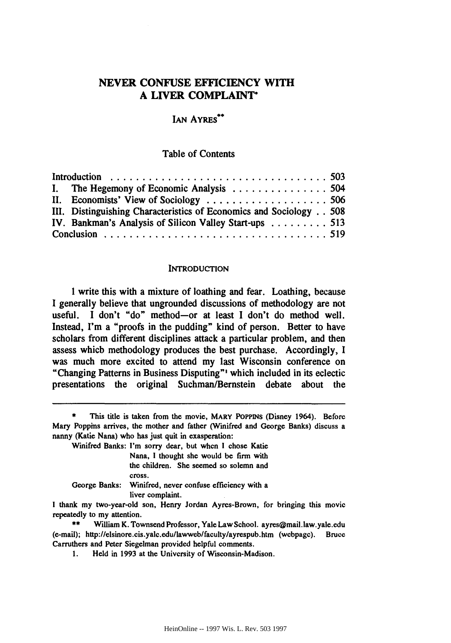# **NEVER CONFUSE EFFICIENCY WITH A LIVER COMPLAINT\***

## IAN AYRES\*\*

### Table of Contents

|  | I. The Hegemony of Economic Analysis 504                           |  |
|--|--------------------------------------------------------------------|--|
|  |                                                                    |  |
|  | III. Distinguishing Characteristics of Economics and Sociology 508 |  |
|  | IV. Bankman's Analysis of Silicon Valley Start-ups 513             |  |
|  |                                                                    |  |

### **INTRODUCTION**

I write this with a mixture of loathing and fear. Loathing, because **I** generally believe that ungrounded discussions of methodology are not useful. I don't "do" method-or at least I don't do method well. Instead, I'm a "proofs in the pudding" kind of person. Better to have scholars from different disciplines attack a particular problem, and then assess which methodology produces the best purchase. Accordingly, **I** was much more excited to attend my last Wisconsin conference on "Changing Patterns in Business Disputing"' which included in its eclectic presentations the original Suchman/Bernstein debate about the

Winifred Banks: I'm sorry dear, but when **I** chose Katie

| Nana, I thought she would be firm with                  |  |
|---------------------------------------------------------|--|
| the children. She seemed so solemn and                  |  |
| cross.                                                  |  |
| George Banks: Winifred, never confuse efficiency with a |  |

liver complaint.

This title is taken from the movie, MARY POPPINS (Disney 1964). Before Mary Poppins arrives, the mother and father (Winifred and George Banks) discuss a nanny (Katie Nana) who has just quit in exasperation:

I thank my two-year-old son, Henry Jordan Ayres-Brown, for bringing this movie repeatedly to my attention.

**<sup>\*\*</sup>** William K. Townsend Professor, Yale Law School. ayres@mail.law.yale.edu (e-mail); http://elsinore.cis.yale.edu/lawweb/faculty/ayrespub.htm (webpage). Bruce Carruthers and Peter Siegelman provided helpful comments.

**<sup>1.</sup>** Held in 1993 at the University of Wisconsin-Madison.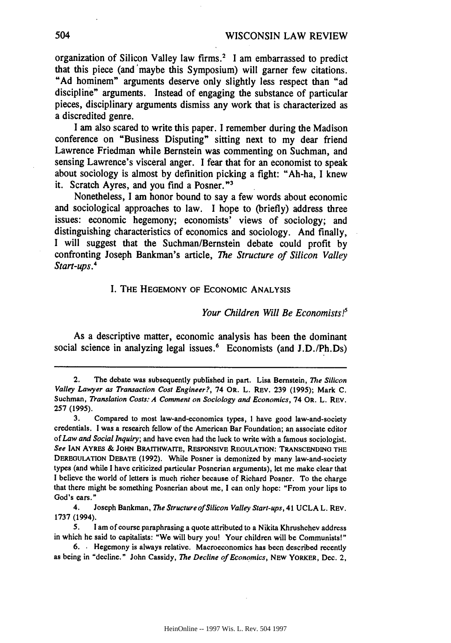organization of Silicon Valley law firms.2 **I** am embarrassed to predict that this piece (and 'maybe this Symposium) will garner few citations. **"Ad** hominem" arguments deserve only slightly less respect than "ad discipline" arguments. Instead of engaging the substance of particular pieces, disciplinary arguments dismiss any work that is characterized as a discredited genre.

I am also scared to write this paper. **I** remember during the Madison conference on "Business Disputing" sitting next to my dear friend Lawrence Friedman while Bernstein was commenting on Suchman, and sensing Lawrence's visceral anger. I fear that for an economist to speak about sociology is almost **by** definition picking a fight: "Ah-ha, I knew it. Scratch Ayres, and you find a Posner."<sup>3</sup>

Nonetheless, **I** am honor bound to say a few words about economic and sociological approaches to law. I hope to (briefly) address three issues: economic hegemony; economists' views of sociology; and distinguishing characteristics of economics and sociology. And finally, **I** will suggest that the Suchman/Bernstein debate could profit **by** confronting Joseph Bankman's article, *The Structure of Silicon Valley Start-ups.4*

### I. THE HEGEMONY OF ECONOMIC ANALYSIS

#### *Your Children Will Be Economists!5*

As a descriptive matter, economic analysis has been the dominant social science in analyzing legal issues.<sup>6</sup> Economists (and J.D./Ph.Ds)

<sup>2.</sup> The debate was subsequently published in part. Lisa Bernstein, *The* Silicon Valley Lawyer as Transaction Cost Engineer?, 74 OR. L. REV. **239** (1995); Mark **C.** Suchman, *Translation Costs: A Comment on Sociology and Economics,* 74 OR. L. REV. **257** (1995).

<sup>3.</sup> Compared to most law-and-economics types, I have good law-and-society credentials. I was a reseach fellow of the American Bar Foundation; an associate editor of *Law and Social Inquiry;* and have even had the luck to write with a famous sociologist. *See* **IAN** AYRES **& JOHN BRAITHWAITE, RESPONSIVE** REGULATION: **TRANSCENDING THE DEREGULATION DEBATE (1992).** While Posner is demonized **by** many law-and-society types (and while **I** have criticized particular Posnerian arguments), let me make clear that **I** believe the world of letters is much richer because of Richard Posner. To the charge that there might be something Posnerian about me, **I** can only hope: "From your lips to God's ears."

<sup>4.</sup> Joseph Bankman, *The Structure of Silicon Valley Start-ups,* 41 UCLA L. REV. 1737 (1994).

*<sup>5.</sup>* l am of course paraphrasing a quote attributed to a Nikita Khrushchev address in which he said to capitalists: "We will bury you! Your children will be Communists!"

<sup>6.</sup> Hegemony is always relative. Macroeconomics has been described recently as being in "decline." John Cassidy, *The Decline of Economics,* NEW YORKER, Dec. 2,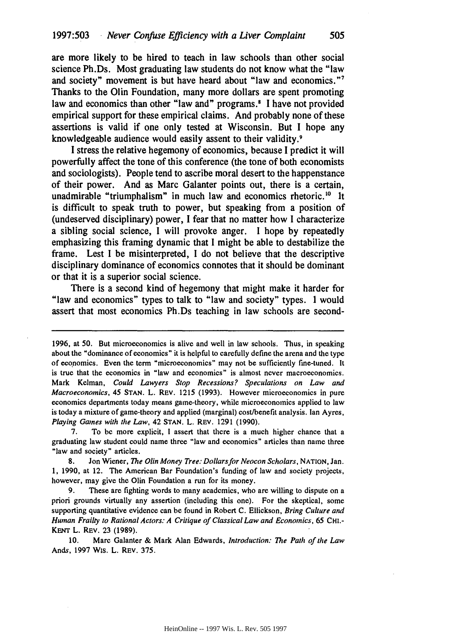are more likely to be hired to teach in law schools than other social science Ph.Ds. Most graduating law students do not know what the "law and society" movement is but have heard about "law and economics."<sup>7</sup> Thanks to the Olin Foundation, many more dollars are spent promoting law and economics than other "law and" programs **I** have not provided empirical support for these empirical claims. And probably none of these assertions is valid if one only tested at Wisconsin. But **I** hope any knowledgeable audience would easily assent to their validity.<sup>9</sup>

**I** stress the relative hegemony of economics, because **I** predict it will powerfully affect the tone of this conference (the tone of both economists and sociologists). People tend to ascribe moral desert to the happenstance of their power. And as Marc Galanter points out, there is a certain, unadmirable "triumphalism" in much law and economics rhetoric.<sup>10</sup> It is difficult to speak truth to power, but speaking from a position of (undeserved disciplinary) power, **I** fear that no matter how **I** characterize a sibling social science, **I** will provoke anger. **I** hope **by** repeatedly emphasizing this framing dynamic that **I** might be able to destabilize the frame. Lest **I** be misinterpreted, **I** do not believe that the descriptive disciplinary dominance of economics connotes that it should be dominant or that it is a superior social science.

There is a second kind of hegemony that might make it harder for "law and economics" types to talk to "law and society" types. **I** would assert that most economics Ph.Ds teaching in law schools are second-

7. To be more explicit, **I** assert that there is a much higher chance that a graduating law student could name three "law and economics" articles than name three "law and society" articles.

**8.** Jon Wiener, *The Olin Money Tree. Dollarsfor Neocon Scholars,* **NATION,** Jan. 1, 1990, at 12. The American Bar Foundation's funding of law and society projects, however, may give the Olin Foundation a run for its money.

9. These are fighting words to many academics, who are willing to dispute on a priori grounds virtually any assertion (including this one). For the skeptical, some supporting quantitative evidence can be found in Robert **C.** Ellickson, *Bring Culture and Human Frailty to Rational Actors: A Critique of Classical Law and Economics, 65 CHI.-***KENT** L. REv. 23 (1989).

10. Marc Galanter **&** Mark Alan Edwards, *Introduction: The Path of the Law* Ands, **1997** Wis. L. REv. 375.

**<sup>1996,</sup>** at 50. But microeconomics is alive and well in law schools. Thus, in speaking about the "dominance of economics" it is helpful to carefully define the arena and the type of economics. Even the term "microeconomics" may not be sufficiently fine-tuned. It is true that the economics in "law and economics" is almost never macroeconomics. Mark Kelman, Could Lawyers Stop *Recessions? Speculations on Law and* Macroeconomics, 45 **STAN.** L. REv. 1215 (1993). However microeconomics in pure economics departments today means game-theory, while microeconomics applied to law is today a mixture of game-theory and applied (marginal) cost/benefit analysis. Ian Ayres, *Playing Gaines with the Law,* 42 **STAN.** L. REV. 1291 (1990).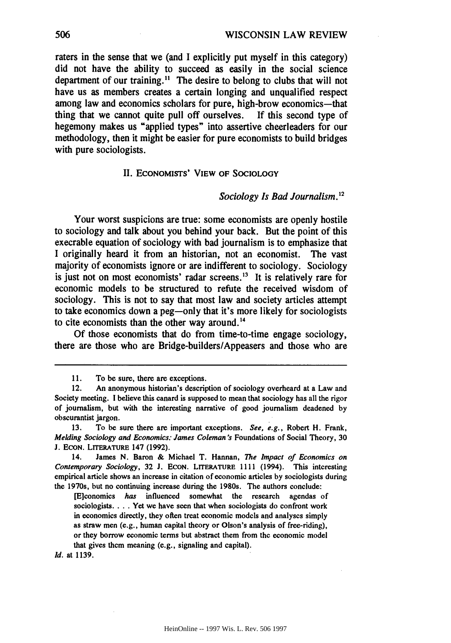raters in the sense that we (and **I** explicitly put myself in this category) did not have the ability to succeed as easily in the social science department of our training." **The** desire to belong to clubs that will not have us as members creates a certain longing and unqualified respect among law and economics scholars for pure, high-brow economics-that thing that we cannot quite pull off ourselves. If this second type of hegemony makes us "applied types" into assertive cheerleaders for our methodology, then it might be easier for pure economists to build bridges with pure sociologists.

#### II. **ECONOMISTS'** VIEW OF **SOCIOLOGY**

### *Sociology Is Bad Journalism.2*

Your worst suspicions are true: some economists are openly hostile to sociology and talk about you behind your back. But the point of this execrable equation of sociology with bad journalism is to emphasize that **I** originally heard it from an historian, not an economist. The vast majority of economists ignore or are indifferent to sociology. Sociology is just not on most economists' radar screens.<sup>13</sup> It is relatively rare for economic models to be structured to refute the received wisdom of sociology. This is not to say that most law and society articles attempt to take economics down a peg-only that it's more likely for sociologists to cite economists than the other way around.<sup>14</sup>

**Of** those economists that do from time-to-time engage sociology, there are those who are Bridge-builders/Appeasers and those who are

*Id.* at **1139.**

**<sup>11.</sup>** To **be** sure, there are exceptions.

<sup>12.</sup> An anonymous historian's description of sociology overheard at a Law and Society meeting. **I** believe this canard is supposed to mean that sociology has all the rigor of journalism, but with the interesting narrative of good journalism deadened **by** obscurantist jargon.

**<sup>13.</sup>** To **be** sure there are important exceptions. *See, e.g.,* Robert H. Frank, *Melding Sociology and Economics: James Coleman's* Foundations of Social Theory, **30 J. ECON.** LITERATURE 147 **(1992).**

<sup>14.</sup> James **N.** Baron **&** Michael T. Hannan, *The Impact of Economics on Contemporary Sociology,* **32 J. ECON.** LrrERATURE **1111** (1994). This interesting empirical article shows an increase in citation of economic articles **by** sociologists during the 1970s, but no continuing increase during the 1980s. The authors conclude:

<sup>[</sup>E]conomics *has* influenced somewhat the research agendas of sociologists.... Yet we have seen that when sociologists do confront work in economics directly, they often treat economic models and analyses simply as straw men (e.g., human capital theory or Olson's analysis of free-riding), or they borrow economic terms but abstract them from the economic model that gives them meaning **(e.g.,** signaling and capital).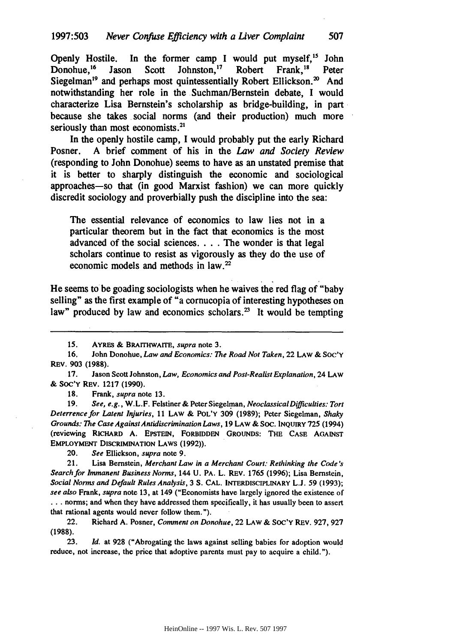Openly Hostile. In the former camp I would put myself,<sup>15</sup> John Donohue.<sup>16</sup> Jason Scott Johnston.<sup>17</sup> Robert Frank.<sup>18</sup> Peter Donohue,<sup>16</sup> Jason Scott Johnston,<sup>17</sup> Robert Frank,<sup>18</sup> Peter Siegelman<sup>19</sup> and perhaps most quintessentially Robert Ellickson.<sup>20</sup> And notwithstanding her role in the Suchman/Bernstein debate, **I** would characterize Lisa Bernstein's scholarship as bridge-building, in part because she takes social norms (and their production) much more seriously than most economists.<sup>21</sup>

In the openly hostile camp, I would probably put the early Richard Posner. **A** brief comment of his in the *Law and Society Review* (responding to John Donohue) seems to have as an unstated premise that it is better to sharply distinguish the economic and sociological approaches-so that (in good Marxist fashion) we can more quickly discredit sociology and proverbially push the discipline into the sea:

**The** essential relevance of economics to law lies not in a particular theorem but in the fact that economics is the most advanced of the social sciences. . **.** . The wonder is that legal scholars continue to resist as vigorously as they do the use of economic models and methods in **law.'**

He seems to be goading sociologists when he waives the red flag of "baby selling" as the first example of "a cornucopia of interesting hypotheses on law" produced by law and economics scholars.<sup>23</sup> It would be tempting

**17.** Jason Scott Johnston, *Law, Economics and Post-Realist Explanation,* 24 LAW **&** Soc'y REv. **1217 (1990).**

**18.** Frank, *supra* note **13.**

**19.** *See, e.g.,* W.L.F. Felstiner **&** Peter Siegelman, *NeoclassicalDifficulties: Tort Deterrence for Latent Injuries,* **11** LAW **&** POL'Y **309 (1989);** Peter Siegelman, *Shaky Grounds: The Case AgainstAntidiscrimination Laws,* **19** LAW **& SOC. INQUIRY 725** (1994) (reviewing **RICHARD A. EPSTEIN,** FORBIDDEN **GROUNDS:** THE **CASE AGAINST EMPLOYMENT DISCRIMINATION LAWS (1992)).**

20. *See* Ellickson, *supra* note **9.**

21. Lisa Bernstein, *Merchant Law in a Merchant Court: Rethinking the Code s Search for Immanent Business Norms,* 144 **U.** PA. L. REV. **1765 (1996);** Lisa Bernstein, *Social Norms and Default Rules Analysis,* 3 **S. CAL. INTERDISCIPLINARY L.J. 59 (1993);** *see also* Frank, *supra* note **13,** at 149 ("Economists have largely ignored the existence of **...** norms; and when they have addressed them specifically, it has usually been to assert that rational agents would never follow them.").

22. Richard **A.** Posner, *Comment on Donohue,* 22 LAW **& Soc'Y** REV. **927, 927 (1988).**

**23.** *Id.* at **928** ("Abrogating the laws against selling babies for adoption would reduce, not increase, the price that adoptive parents must pay to acquire a child.").

*<sup>15.</sup>* **AYRES &** BRAITHWAITE, supra note **3.**

**<sup>16.</sup>** John Donohue, *Law and Economics: The Road* **Not** *Taken,* 22 **LAW &** SOC'Y REv. **903 (1988).**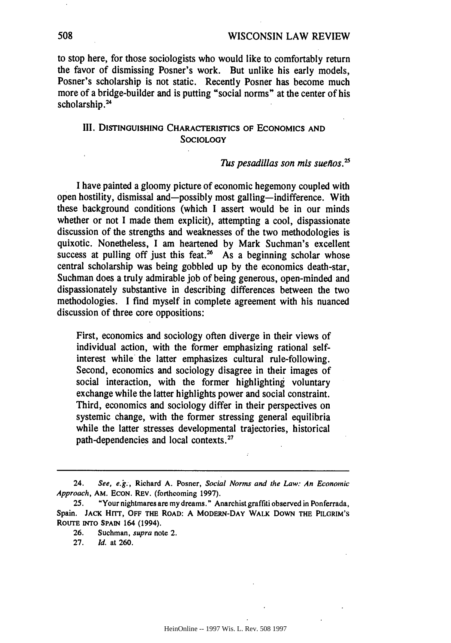to stop here, for those sociologists who would like to comfortably return the favor of dismissing Posner's work. But unlike his early models, Posner's scholarship is not static. Recently Posner has become much more of a bridge-builder and is putting "social norms" at the center of his scholarship.<sup>24</sup>

# III. DISTINGUISHING CHARACTERISTICS OF ECONOMICS **AND SOCIOLOGY**

### *Tus pesadillas son mis sueflos.5*

I have painted a gloomy picture of economic hegemony coupled with open hostility, dismissal and-possibly most galling-indifference. With these background conditions (which I assert would be in our minds whether or not I made them explicit), attempting a cool, dispassionate discussion of the strengths and weaknesses of the two methodologies is quixotic. Nonetheless, I am heartened by Mark Suchman's excellent success at pulling off just this feat.<sup>26</sup> As a beginning scholar whose central scholarship was being gobbled up by the economics death-star, Suchman does a truly admirable **job** of being generous, open-minded and dispassionately substantive in describing differences between the two methodologies. I find myself in complete agreement with his nuanced discussion of three core oppositions:

First, economics and sociology often diverge in their views of individual action, with the former emphasizing rational selfinterest while the latter emphasizes cultural rule-following. Second, economics and sociology disagree in their images of social interaction, with the former highlighting voluntary exchange while the latter highlights power and social constraint. Third, economics and sociology differ in their perspectives on systemic change, with the former stressing general equilibria while the latter stresses developmental trajectories, historical path-dependencies and local contexts.<sup>27</sup>

<sup>24.</sup> *See, e.g.,* Richard **A.** Posner, *Social Norms and the Law: An Economic Approach,* AM. **ECON.** REV. (forthcoming **1997).**

<sup>25. &</sup>quot;Your nightmares are my dreams." Anarchist graffiti observed in Ponferrada, Spain. **JACK Hrrr, OFF THE ROAD: A MODERN-DAY WALK DOWN THE** PILGRIM'S **RouTE INTO** SPAIN 164 (1994).

**<sup>26.</sup>** Suchman, **supra** note **2.**

**<sup>27.</sup>** *Id.* at **260.**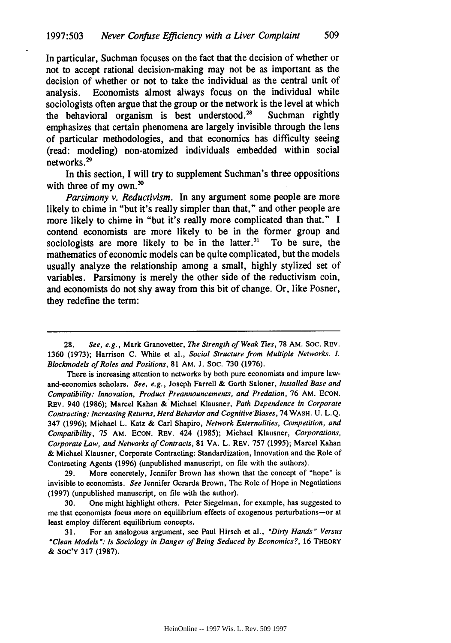In particular, Suchman focuses on the fact that the decision of whether or not to accept rational decision-making may not be as important as the decision of whether or not to take the individual as the central unit of analysis. Economists almost always focus on the individual while sociologists often argue that the group or the network is the level at which the behavioral organism is best understood.<sup>28</sup> Suchman rightly emphasizes that certain phenomena are largely invisible through the lens of particular methodologies, and that economics has difficulty seeing (read: modeling) non-atomized individuals embedded within social networks.<sup>29</sup>

In this section, I will try to supplement Suchman's three oppositions with three of my own. $30$ 

*Parsimony v. Reductivism.* In any argument some people are more likely to chime in "but it's really simpler than that," and other people are more likely to chime in "but it's really more complicated than that." **I** contend economists are more likely to be in the former group and sociologists are more likely to be in the latter.<sup>31</sup> To be sure, the mathematics of economic models can be quite complicated, but the models usually analyze the relationship among a small, **highly** stylized set of variables. Parsimony is merely the other side of the reductivism coin, and economists do not shy away from this bit of change. Or, like Posner, they redefine the term:

**29.** More concretely, Jennifer Brown has shown that the concept of "hope" is invisible to economists. *See* Jennifer Gerarda Brown, The Role of Hope in Negotiations **(1997)** (unpublished manuscript, on file with the author).

**30.** One might highlight others. Peter Siegelman, for example, has suggested to me that economists focus more on equilibrium effects of exogenous perturbations-or at least employ different equilibrium concepts.

**31.** For an analogous argument, see Paul Hirsch et al., *"Dirty Hands" Versus "Clean Models* **": Is** *Sociology in Danger of Being Seduced by Economics?,* **16 THEORY & Soc'y 317 (1987).**

**<sup>28.</sup>** See, *e.g.,* Mark Granovetter, *The Strength of Weak Ties,* **78** AM. Soc. REV. **1360 (1973);** Harrison **C.** White et al., Social Structure *from* Multiple Networks. L *Blockmodels of Roles and Positions,* **81 AM.** J. SoC. **730 (1976).**

There is increasing attention to networks **by** both pure economists and impure lawand-economics scholars. *See, e.g.,* Joseph Farrell **&** Garth Saloner, *Installed Base and Compatibility: Innovation, Product Preannouncements, and Predation,* **76** AM. **ECON.** REV. 940 **(1986);** Marcel Kahan & Michael Klausner, *Path Dependence in Corporate Contracting: Increasing Returns, Herd Behavior and Cognitive Biases,* 74 WASH. **U. L.Q.** 347 **(1996);** Michael L. Katz **&** Carl Shapiro, *Network Externalities, Competition, and Compatibility,* **75** AM. **ECON.** REV. 424 **(1985);** Michael Klausner, *Corporations, Corporate Law, and Networks of Contracts,* **81** VA. L. REV. **757 (1995);** Marcel Kahan **&** Michael Klausner, Corporate Contracting: Standardization, Innovation and the Role of Contracting Agents **(1996)** (unpublished manuscript, on file with the authors).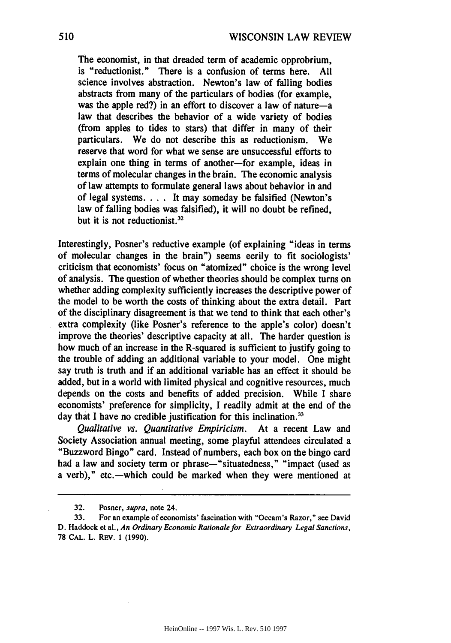The economist, in that dreaded term of academic opprobrium, is "reductionist." There is a confusion of terms here. **All** science involves abstraction. Newton's law of falling bodies abstracts from many of the particulars of bodies (for example, was the apple red?) in an effort to discover a law of nature-a law that describes the behavior of a wide variety of bodies (from apples to tides to stars) that differ in many of their particulars. We do not describe this as reductionism. We reserve that word for what we sense are unsuccessful efforts to explain one thing in terms of another-for example, ideas in terms of molecular changes in the brain. **The** economic analysis of law attempts to formulate general laws about behavior in and of legal systems. . **.** . It may someday be falsified (Newton's law of falling bodies was falsified), it will no doubt be refined, but it is not reductionist.<sup>32</sup>

Interestingly, Posner's reductive example (of explaining "ideas in terms of molecular changes in the brain") seems eerily to fit sociologists' criticism that economists' focus on "atomized" choice is the wrong level of analysis. The question of whether theories should be complex turns on whether adding complexity sufficiently increases the descriptive power of the model to be worth the costs of thinking about the extra detail. Part of the disciplinary disagreement is that we tend to think that each other's extra complexity (like Posner's reference to the apple's color) doesn't improve the theories' descriptive capacity at all. The harder question is how much of an increase in the R-squared is sufficient to justify going to the trouble of adding an additional variable to your model. One might say truth is truth and if an additional variable has an effect it should be added, but in a world with limited physical and cognitive resources, much depends on the costs and benefits of added precision. While I share economists' preference for simplicity, I readily admit at the end of the day that I have no credible justification for this inclination.<sup>33</sup>

*Qualitative vs. Quantitative Empiricism.* At a recent Law and Society Association annual meeting, some playful attendees circulated a "Buzzword Bingo" card. Instead of numbers, each box on the bingo card had a law and society term or phrase-"situatedness," "impact (used as a verb)," etc.—which could be marked when they were mentioned at

<sup>32.</sup> Posner, supra, note 24.

<sup>33.</sup> For an example of economists' fascination with "Occam's Razor," see David D. Haddock et al., *An Ordinary Economic Rationale for Extraordinary Legal Sanctions,* **78 CAL.** L. REV. 1 (1990).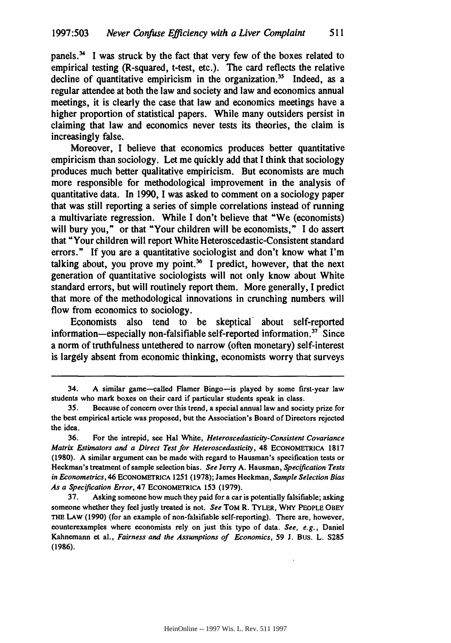panels.<sup>34</sup> I was struck by the fact that very few of the boxes related to empirical testing (R-squared, t-test, etc.). The card reflects the relative decline of quantitative empiricism in the organization.<sup>35</sup> Indeed, as a regular attendee at both the law and society and law and economics annual meetings, it is clearly the case that law and economics meetings have a higher proportion of statistical papers. While many outsiders persist in claiming that law and economics never tests its theories, the claim is increasingly false.

Moreover, I believe that economics produces better quantitative empiricism than sociology. Let me quickly add that I think that sociology produces much better qualitative empiricism. But economists are much more responsible for methodological improvement in the analysis of quantitative data. In 1990, I was asked to comment on a sociology paper that was still reporting a series of simple correlations instead of running a multivariate regression. While I don't believe that "We (economists) will bury you," or that "Your children will be economists," I do assert that "Your children will report White Heteroscedastic-Consistent standard errors." If you are a quantitative sociologist and don't know what I'm talking about, you prove my point.<sup>36</sup> I predict, however, that the next generation of quantitative sociologists will not only know about White standard errors, but will routinely report them. More generally, I predict that more of the methodological innovations in crunching numbers will flow from economics to sociology.

Economists also tend to be skeptical about self-reported information-especially non-falsifiable self-reported information.<sup>37</sup> Since a norm of truthfulness untethered to narrow (often monetary) self-interest is largely absent from economic thinking, economists worry that surveys

<sup>34.</sup> A similar game-called Flamer Bingo-is played by some first-year law students who mark boxes on their card if particular students speak in class.

<sup>35.</sup> Because of concern over this trend, a special annual law and society prize for the best empirical article was proposed, but the Association's Board of Directors rejected the idea.

<sup>36.</sup> For the intrepid, see Hal White, *Heteroscedasticity-Consistent Covariance Matrix Estimators and a Direct Test for Heteroscedasticity,* 48 ECONOMETRICA 1817 (1980). A similar argument can be made with regard to Hausman's specification tests or Heckman's treatment of sample selection bias. *See* Jerry A. Hausman, *Specification Tests in Econometrics,* 46 **ECONOMErRICA** 1251 (1978); James Heckman, *Sample Selection Bias As a Specification Error,* 47 **ECONOMETRICA** 153 (1979).

<sup>37.</sup> Asking someone how much they paid for a car is potentially falsifiable; asking someone whether they feel justly treated is not. *See* TOM R. TYLER, WHY PEOPLE OBEY THE **LAW** (1990) (for an example of non-falsifiable self-reporting). There are, however, counterexamples where economists rely on just this type of data. *See, e.g.,* Daniel Kahnemann et al., *Fairness and the Assumptions of Economics,* 59 J. Bus. L. 5285 **(1986).**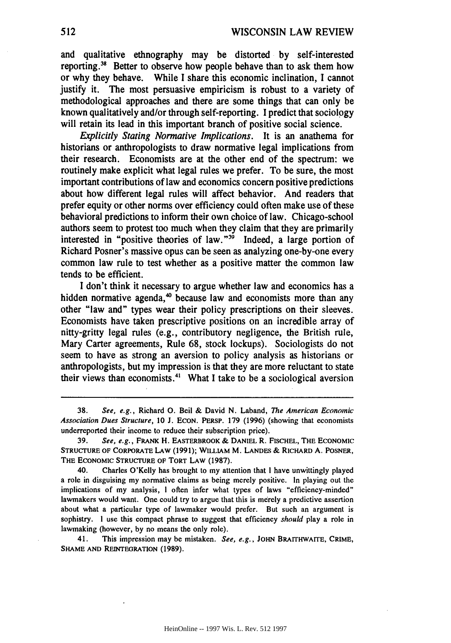and qualitative ethnography may be distorted **by** self-interested reporting.<sup>38</sup> Better to observe how people behave than to ask them how or why they behave. While **I** share this economic inclination, **I** cannot justify it. The most persuasive empiricism is robust to a variety of methodological approaches and there are some things that can only be known qualitatively and/or through self-reporting. **I** predict that sociology will retain its lead in this important branch of positive social science.

*Explicitly Stating Normative Implications.* It is an anathema for historians or anthropologists to draw normative legal implications from their research. Economists are at the other end of the spectrum: we routinely make explicit what legal rules we prefer. To be sure, the most important contributions of law and economics concern positive predictions about how different legal rules will affect behavior. And readers that prefer equity or other norms over efficiency could often make use of these behavioral predictions to inform their own choice of law. Chicago-school authors seem to protest too much when they claim that they are primarily interested in "positive theories of law."<sup>39</sup> Indeed, a large portion of Richard Posner's massive opus can be seen as analyzing one-by-one every common law rule to test whether as a positive matter the common law tends to be efficient.

**I** don't think it necessary to argue whether law and economics has a hidden normative agenda, $\omega$  because law and economists more than any other "law and" types wear their policy prescriptions on their sleeves. Economists have taken prescriptive positions on an incredible array of nitty-gritty legal rules (e.g., contributory negligence, the British rule, Mary Carter agreements, Rule 68, stock lockups). Sociologists do not seem to have as strong an aversion to policy analysis as historians or anthropologists, but my impression is that they are more reluctant to state their views than economists.<sup>41</sup> What I take to be a sociological aversion

40. Charles O'Kelly has brought to my attention that **I** have unwittingly played a role in disguising my normative claims as being merely positive. In playing out the implications of my analysis, **I** often infer what types of laws "efficiency-minded" lawmakers would want. One could try to argue that this is merely a predictive assertion about what a particular type of lawmaker would prefer. But such an argument is sophistry. I use this compact phrase to suggest that efficiency *should* play a role in lawmaking (however, by no means the only role).

41. This impression may be mistaken. *See, e.g.,* **JOHN** BRAITHWAITE, **CRIME, SHAME AND REINTEORATION (1989).**

**<sup>38.</sup>** *See, e.g.,* Richard **0.** Beil & David N. Laband, *The American Economic Association Dues Structure,* 10 J. **ECON. PERSP.** 179 (1996) (showing that economists underreported their income to reduce their subscription price).

**<sup>39.</sup>** *See, e.g.,* **FRANK** H. EASTERBROOK & **DANIEL** R. **FISCHEL, THE ECONOMIC** STRUCTURE OF CORPORATE LAW (1991); WILLIAM M. **LANDES** & RICHARD A. POSNER, THE **ECONOMIC STRUCTURE** OF TORT LAW (1987).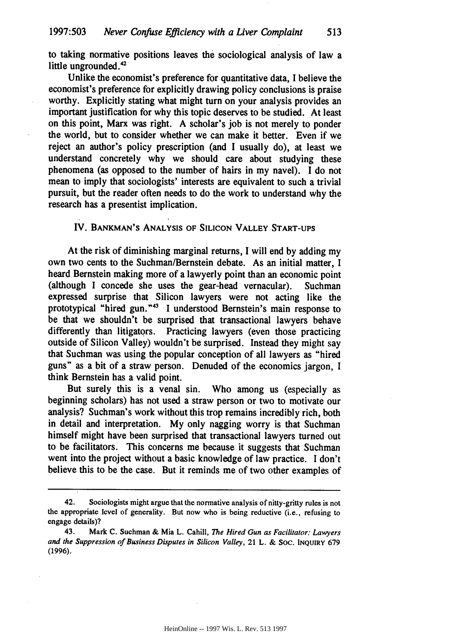to taking normative positions leaves **the** sociological analysis of law a little ungrounded. $42$ 

Unlike the economist's preference for quantitative data, **I** believe the economist's preference for explicitly drawing policy conclusions is praise worthy. Explicitly stating what might turn on your analysis provides an important justification for why this topic deserves to be studied. At least on this point, Marx was right. **A** scholar's **job** is not merely to ponder the world, but to consider whether we can make it better. Even if we reject an author's policy prescription (and **I** usually do), at least we understand concretely why we should care about studying these phenomena (as opposed to the number of hairs in my navel). **I** do not mean to imply that sociologists' interests are equivalent to such a trivial pursuit, but the reader often needs to do the work to understand why the research has a presentist implication.

### IV. **BANKMAN'S ANALYSIS OF SILICON VALLEY START-UPS**

At the risk of diminishing marginal returns, I will **end by** adding my own two cents to the Suchman/Bernstein debate. As an initial matter, I heard Bernstein making more of a lawyerly point than an economic point (although I concede she uses the gear-head vernacular). Suchman expressed surprise that Silicon lawyers were not acting like the prototypical "hired gun."<sup>43</sup> I understood Bernstein's main response to be that we shouldn't be surprised that transactional lawyers behave differently than litigators. Practicing lawyers (even those practicing outside of Silicon Valley) wouldn't be surprised. Instead they might say that Suchman was using the popular conception of all lawyers as "hired guns" as a bit of a straw person. Denuded of the economics jargon, I think Bernstein has a valid point.

But surely this is a venal sin. Who among us (especially as beginning scholars) has not used a straw person or two to motivate our analysis? Suchman's work without this trop remains incredibly rich, both in detail and interpretation. My only nagging worry is that Suchman himself might have been surprised that transactional lawyers turned out to be facilitators. This concerns me because it suggests that Suchman went into the project without a basic knowledge of law practice. I don't believe this to be the case. But it reminds me of two other examples of

<sup>42.</sup> Sociologists might argue that the normative analysis of nitty-gritty rules is not the appropriate level of generality. But now who is being reductive (i.e., refusing to engage details)?

<sup>43.</sup> Mark **C.** Suchman & Mia L. Cahill, *The Hired Gun as Facilitator: Lawyers and the Suppression of Business* Disputes *in Silicon Valley,* 21 L. & **SOC. INQUIRY** 679 **(1996).**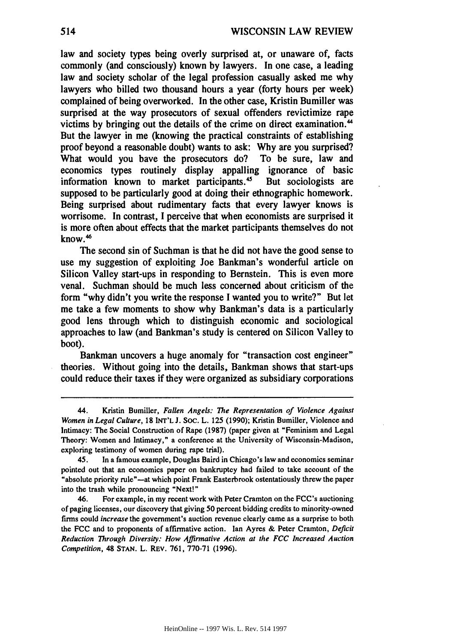law and society types being overly surprised at, or unaware of, facts commonly (and consciously) known **by** lawyers. In one case, a leading law and society scholar of the legal profession casually asked me why lawyers who billed two thousand hours a year (forty hours per week) complained of being overworked. In the other case, Kristin Bumiller was surprised at the way prosecutors of sexual offenders revictimize rape victims by bringing out the details of the crime on direct examination.<sup>44</sup> But the lawyer in me (knowing the practical constraints of establishing proof beyond a reasonable doubt) wants to ask: **Why** are you surprised? What would you have the prosecutors do? To be sure, law and economics types routinely display appalling ignorance of basic information known to market participants.<sup>45</sup> But sociologists are supposed to be particularly good at doing their ethnographic homework. Being surprised about rudimentary facts that every lawyer knows is worrisome. In contrast, I perceive that when economists are surprised it is more often about effects that the market participants themselves do not know.4

The second sin of Suchman is that he did not have the good sense to use my suggestion of exploiting Joe Bankman's wonderful article on Silicon Valley start-ups in responding to Bernstein. This is even more venal. Suchman should be much less concerned about criticism of the form "why didn't you write the response I wanted you to write?" But let me take a few moments to show why Bankman's data is a particularly good lens through which to distinguish economic and sociological approaches to law (and Bankman's study is centered on Silicon Valley to boot).

Bankman uncovers a huge anomaly for "transaction cost engineer" theories. Without going into the details, Bankman shows that start-ups could reduce their taxes if they were organized as subsidiary corporations

<sup>44.</sup> Kristin Bumiller, *Fallen Angels: The Representation of Violence Against Women in Legal Culture,* **18** INT'L **J.** Soc. L. **125 (1990);** Kristin Bumiller, Violence and Intimacy: The Social Construction of Rape **(1987)** (paper given at "Feminism and Legal Theory: Women and Intimacy," a conference at the University of Wisconsin-Madison, exploring testimony of women during rape trial).

<sup>45.</sup> In a famous example, Douglas Baird in Chicago's law and economics seminar pointed out that an economics paper on bankruptcy had failed to take account of the 'absolute priority rule"-at which point Frank Easterbrook ostentatiously threw the paper into the trash while pronouncing "Next!"

<sup>46.</sup> For example, in my recent work with Peter Cramton on the FCC's auctioning of paging licenses, our discovery that giving **50** percent bidding credits to minority-owned firms could *increase* the government's auction revenue clearly came as a surprise to both the **FCC** and to proponents of affirmative action. Ian Ayres **&** Peter Cramton, *Deficit Reduction Through Diversity: How Affirmative Action at the FCC Increased Auction Competition,* 48 **STAN.** L. **REV. 761, 770-71 (1996).**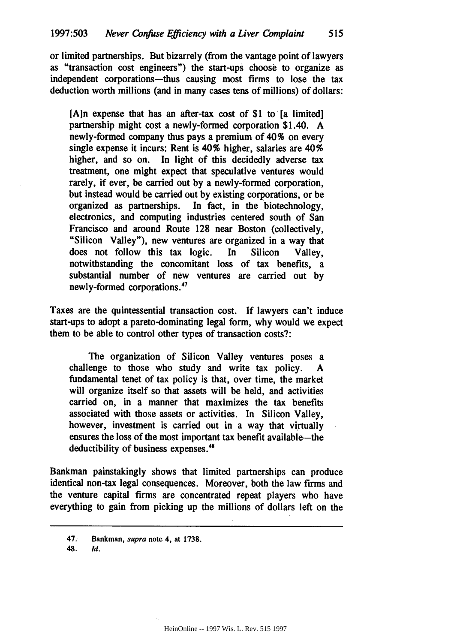or limited partnerships. But bizarrely (from the vantage point of lawyers as "transaction cost engineers") the start-ups choose to organize as independent corporations-thus causing most firms to lose the tax deduction worth millions (and in many cases tens of millions) of dollars:

**[A]n** expense that has an after-tax cost of **\$1** to [a limited] partnership might cost a newly-formed corporation \$1.40. **A** newly-formed company thus pays a premium of 40% on every single expense it incurs: Rent is 40% higher, salaries are  $40\%$ higher, and so on. In light of this decidedly adverse tax treatment, one might expect that speculative ventures would rarely, if ever, be carried out **by** a newly-formed corporation, but instead would be carried out **by** existing corporations, or be organized as partnerships. In fact, in the biotechnology, electronics, and computing industries centered south of San Francisco and around Route **128** near Boston (collectively, "Silicon Valley"), new ventures are organized in a way that does not follow this tax logic. In Silicon Valley, notwithstanding the concomitant loss of tax benefits, a substantial number of new ventures are carried out **by** newly-formed corporations.'

Taxes are the quintessential transaction cost. **If** lawyers can't induce start-ups to adopt a pareto-dominating legal form, why would we expect them to be able to control other types of transaction costs?:

The organization of Silicon Valley ventures poses a challenge to those who study and write tax policy. **A** fundamental tenet of tax policy is that, over time, the market will organize itself so that assets will be held, and activities carried on, in a manner that maximizes the tax benefits associated with those assets or activities. In Silicon Valley, however, investment is carried out in a way that virtually ensures the loss of the most important tax benefit available-the deductibility of business expenses.<sup>48</sup>

Bankman painstakingly shows that limited partnerships can produce identical non-tax legal consequences. Moreover, both the law firms and the venture capital firms are concentrated repeat players who have everything to gain from picking up the millions of dollars left on the

<sup>47.</sup> Bankman, **supra** note 4, **at 1738.**

<sup>48.</sup> *Id.*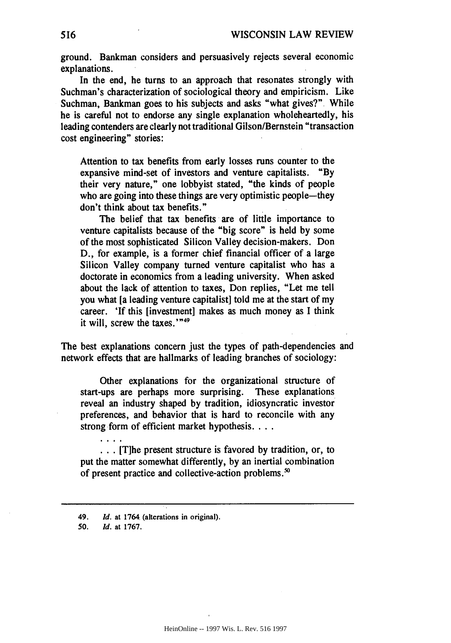ground. Bankman considers and persuasively rejects several economic explanations.

In the end, he turns to an approach that resonates strongly with Suchman's characterization of sociological theory and empiricism. Like Suchman, Bankman goes to his subjects and asks "what gives?" While he is careful not to endorse any single explanation wholeheartedly, his leading contenders are clearly not traditional Gilson/Bernstein "transaction cost engineering" stories:

Attention to tax benefits from early losses runs counter to the expansive mind-set of investors and venture capitalists. **"By** their very nature," one lobbyist stated, "the kinds of people who are going into these things are very optimistic people-they don't think about tax benefits."

The belief that tax benefits are of little importance to venture capitalists because of the "big score" is held by some of the most sophisticated Silicon Valley decision-makers. Don D., for example, is a former chief financial officer of a large Silicon Valley company turned venture capitalist who has a doctorate in economics from a leading university. When asked about the lack of attention to taxes, Don replies, "Let me tell you what [a leading venture capitalist] told me at the start of my career. 'If this [investment] makes as much money as **I** think it will, screw the taxes.'"<sup>49</sup>

The best explanations concern just the types of path-dependencies and network effects that are hallmarks of leading branches of sociology:

Other explanations for the organizational structure of start-ups are perhaps more surprising. These explanations reveal an industry shaped **by** tradition, idiosyncratic investor preferences, and behavior that is hard to reconcile with any strong form of efficient market hypothesis. . **..**

**.. .** [Tihe present structure is favored **by** tradition, or, to put the matter somewhat differently, **by** an inertial combination of present practice and collective-action problems.<sup>50</sup>

<sup>49.</sup> *Id.* at 1764 (alterations in original).

<sup>50.</sup> *Id.* at **1767.**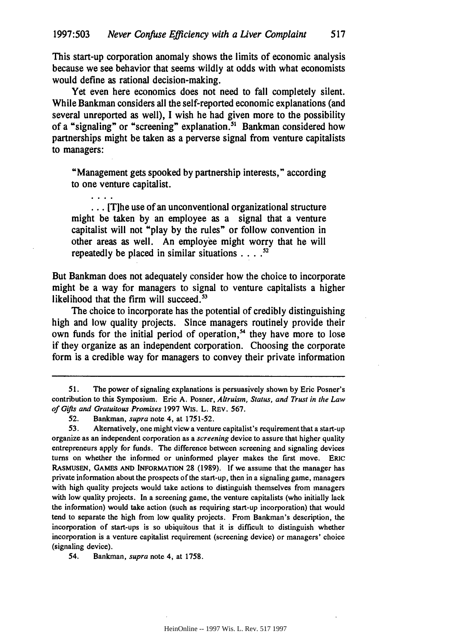This start-up corporation anomaly shows the limits of economic analysis because we see behavior that seems wildly at odds with what economists would define as rational decision-making.

Yet even here economics does not need to fall completely silent. While Bankman considers all the self-reported economic explanations (and several unreported as well), I wish he had given more to the possibility of a "signaling" or "screening" explanation.<sup>51</sup> Bankman considered how partnerships might be taken as a perverse signal from venture capitalists to managers:

"Management gets spooked **by** partnership interests," according to one venture capitalist.

**... [T]he** use of an unconventional organizational structure might be taken **by** an employee as a signal that a venture capitalist will not "play **by** the rules" or follow convention in other areas as well. An employee might worry that he will repeatedly be placed in similar situations **...** 

But Bankman does not adequately consider how the choice to incorporate might be a way for managers to signal to venture capitalists a higher likelihood that the firm will succeed.<sup>53</sup>

The choice to incorporate has the potential of credibly distinguishing high and low quality projects. Since managers routinely provide their own funds for the initial period of operation,<sup>54</sup> they have more to lose if they organize as an independent corporation. Choosing the corporate form is a credible way for managers to convey their private information

. . . .

54. Bankman, *supra* note 4, at 1758.

**<sup>51.</sup>** The power of signaling explanations is persuasively shown **by** Eric Posner's contribution to this Symposium. Eric **A.** Posner, Altruism, Status, and Trust *in the Law of Gifts and Gratuitous Promises* **1997** WIs. L. **REV. 567.**

**<sup>52.</sup>** Bankman, *supra* note 4, at **1751-52.**

**<sup>53.</sup>** Alternatively, one might view a venture capitalist's requirement that a start-up organize as an independent corporation as a *screening* device to assure that higher quality entrepreneurs apply for funds. The difference between screening and signaling devices turns on whether the informed or uninformed player makes the first move. ERIC RASMUSEN, **GAMES AND** INFORMATION **28 (1989). If** we assume that the manager has private information about the prospects of the start-up, then in a signaling game, managers with high quality projects would take actions to distinguish themselves from managers with low quality projects. In a screening game, the venture capitalists (who initially lack the information) would take action (such as requiring start-up incorporation) that would tend to separate the high from low quality projects. From Bankman's description, the incorporation of start-ups is so ubiquitous that it is difficult to distinguish whether incorporation is a venture capitalist requirement (screening device) or managers' choice (signaling device).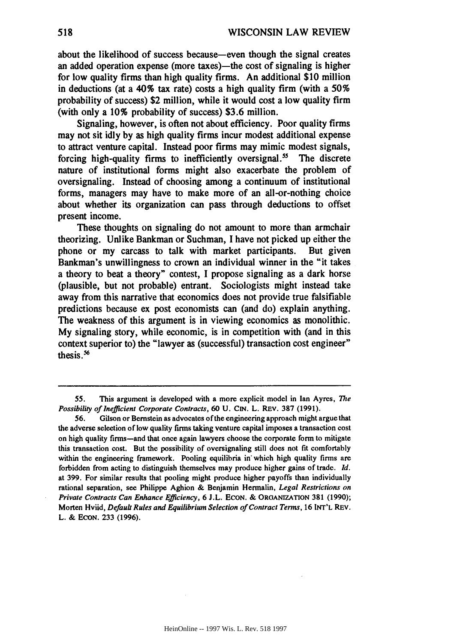about the likelihood of success because-even though the signal creates an added operation expense (more taxes)—the cost of signaling is higher for low quality firms than high quality firms. An additional **\$10** million in deductions (at a 40% tax rate) costs a high quality firm (with a *50%* probability of success) \$2 million, while it would cost a low quality firm (with only a **10%** probability of success) **\$3.6** million.

Signaling, however, is often not about efficiency. Poor quality firms may not sit idly **by** as high quality firms incur modest additional expense to attract venture capital. Instead poor firms may mimic modest signals, forcing high-quality firms to inefficiently oversignal.<sup>55</sup> The discrete nature of institutional forms might also exacerbate the problem of oversignaling. Instead of choosing among a continuum of institutional forms, managers may have to make more of an all-or-nothing choice about whether its organization can pass through deductions to offset present income.

These thoughts on signaling do not amount to more than armchair theorizing. Unlike Bankman or Suchman, **I** have not picked up either the phone or my carcass to talk with market participants. But given Bankman's unwillingness to crown an individual winner in the "it takes a theory to beat a theory" contest, I propose signaling as a dark horse (plausible, but not probable) entrant. Sociologists might instead take away from this narrative that economics does not provide true falsifiable predictions because ex post economists can (and do) explain anything. The weakness of this argument is in viewing economics as monolithic. **My** signaling story, while economic, is in competition with (and in this context superior to) the "lawyer as (successful) transaction cost engineer" thesis.<sup>56</sup>

**<sup>55.</sup> This** argument is developed with a more explicit model in Ian Ayres, *The Possibility of Inefficient Corporate* Contracts, **60 U. CIN. L. REV. 387 (1991).**

**<sup>56.</sup>** Gilson or Bernstein as advocates of the engineering approach might argue that the adverse selection of low quality firms taking venture capital imposes a transaction cost on high quality firms-and that once again lawyers choose the corporate form to mitigate this transaction cost. But the possibility of oversignaling still does not fit comfortably within the engineering framework. Pooling equilibria in which high quality firms are forbidden from acting to distinguish themselves may produce higher gains of trade. **Id.** at **399.** For similar results that pooling might produce higher payoffs than individually rational separation, see Philippe Aghion **&** Benjamin Hermalin, Legal Restrictions on *Private Contracts* Can Enhance Efficiency, **6 J.L. ECON. & ORGANIZATION 381 (1990);** Morten Hviid, *Default Rules* and *Equilibrium Selection of Contract Terms,* **16 INT'L** REV. **L. & ECON. 233 (1996).**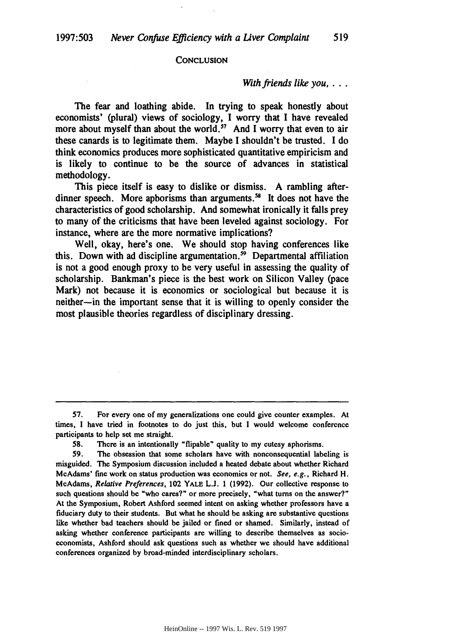#### **CONCLUSION**

#### *With friends like you....*

The fear and loathing abide. In trying to speak honestly about economists' (plural) views of sociology, I worry that **I** have revealed more about myself than about the world.<sup>57</sup> And I worry that even to air these canards is to legitimate them. Maybe **I** shouldn't be trusted. **I** do think economics produces more sophisticated quantitative empiricism and is likely to continue to be the source of advances in statistical methodology.

This piece itself is easy to dislike or dismiss. **A** rambling afterdinner speech. More aphorisms than arguments.<sup>58</sup> It does not have the characteristics of good scholarship. And somewhat ironically it falls prey to many of the criticisms that have been leveled against sociology. For instance, where are the more normative implications?

Well, okay, here's one. We should stop having conferences like this. Down with ad discipline argumentation.<sup>59</sup> Departmental affiliation is not a good enough proxy to be very useful in assessing the quality of scholarship. Bankman's piece is the best work on Silicon Valley (pace Mark) not because it is economics or sociological but because it is neither-in the important sense that it is willing to openly consider the most plausible theories regardless of disciplinary dressing.

**<sup>57.</sup>** For every one of my generalizations one could give counter examples. At times, **I** have tried in footnotes to do just this, but **I** would welcome conference participants to help set me straight.

**<sup>58.</sup>** There is an intentionally "flipable" quality to my cutesy aphorisms.

**<sup>59.</sup>** The obsession that some scholars have with nonconsequential labeling is misguided. The Symposium discussion included a heated debate about whether Richard McAdams' fine work on status production was economics or not. See, e.g., Richard H. McAdams, Relative Preferences, 102 **YALE L.J.** 1 (1992). Our collective response to such questions should be "who cares?" or more precisely, "what turns on the answer?" At the Symposium, Robert Ashford seemed intent on asking whether professors have a fiduciary duty to their students. But what he should be asking are substantive questions like whether bad teachers should be jailed or fined or shamed. Similarly, instead of asking whether conference participants are willing to describe themselves as socioeconomists, Ashford should ask questions such as whether we should have additional conferences organized **by** broad-minded interdisciplinary scholars.